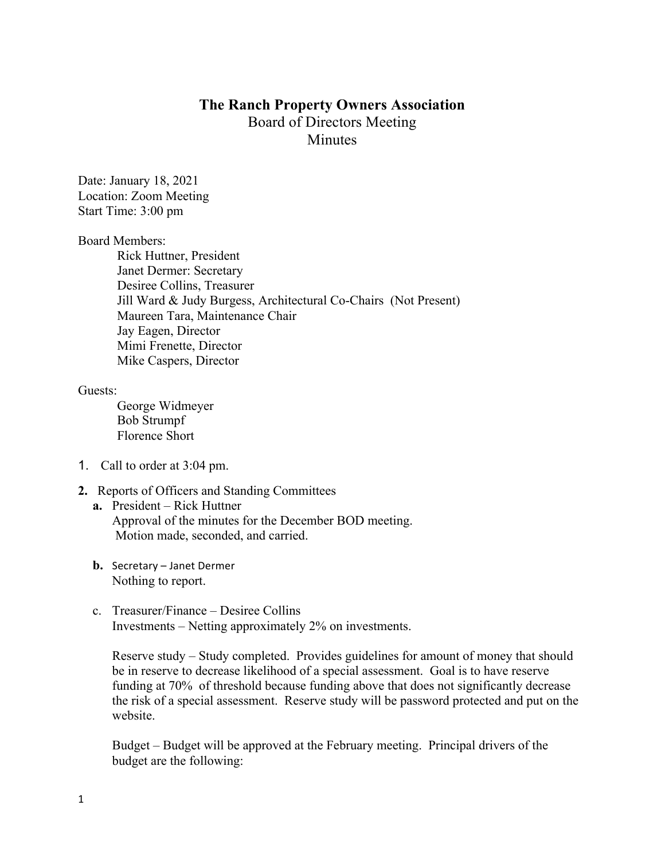# **The Ranch Property Owners Association** Board of Directors Meeting **Minutes**

Date: January 18, 2021 Location: Zoom Meeting Start Time: 3:00 pm

Board Members:

Rick Huttner, President Janet Dermer: Secretary Desiree Collins, Treasurer Jill Ward & Judy Burgess, Architectural Co-Chairs (Not Present) Maureen Tara, Maintenance Chair Jay Eagen, Director Mimi Frenette, Director Mike Caspers, Director

Guests:

George Widmeyer Bob Strumpf Florence Short

- 1. Call to order at 3:04 pm.
- **2.** Reports of Officers and Standing Committees
	- **a.** President Rick Huttner Approval of the minutes for the December BOD meeting. Motion made, seconded, and carried.
	- **b.** Secretary Janet Dermer Nothing to report.
	- c. Treasurer/Finance Desiree Collins Investments – Netting approximately 2% on investments.

Reserve study – Study completed. Provides guidelines for amount of money that should be in reserve to decrease likelihood of a special assessment. Goal is to have reserve funding at 70% of threshold because funding above that does not significantly decrease the risk of a special assessment. Reserve study will be password protected and put on the website.

Budget – Budget will be approved at the February meeting. Principal drivers of the budget are the following: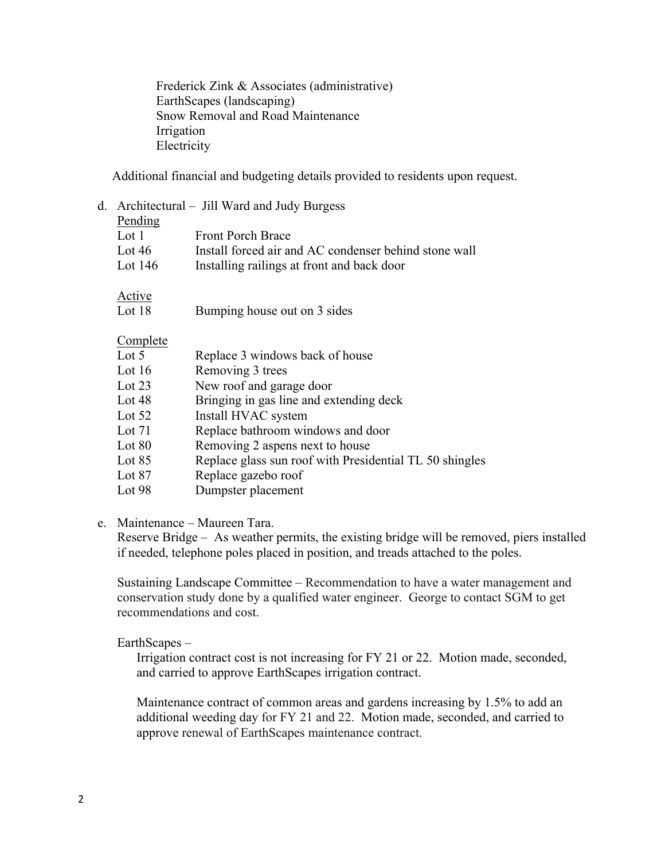Frederick Zink & Associates (administrative) EarthScapes (landscaping) Snow Removal and Road Maintenance Irrigation Electricity

Additional financial and budgeting details provided to residents upon request.

|           | d. Architectural – Jill Ward and Judy Burgess         |
|-----------|-------------------------------------------------------|
| Pending   |                                                       |
| Lot 1     | <b>Front Porch Brace</b>                              |
| Lot $46$  | Install forced air and AC condenser behind stone wall |
| Lot $146$ | Installing railings at front and back door            |
|           |                                                       |
| Lot 18    | Bumping house out on 3 sides                          |
|           |                                                       |
| Lot $5$   | Replace 3 windows back of house                       |
| Lot $16$  | Removing 3 trees                                      |
| Lot 23    | New roof and garage door                              |
|           | Active<br>Complete                                    |

- Lot 48 Bringing in gas line and extending deck
- Lot 52 Install HVAC system
- Lot 71 Replace bathroom windows and door
- Lot 80 Removing 2 aspens next to house
- Lot 85 Replace glass sun roof with Presidential TL 50 shingles
- Lot 87 Replace gazebo roof
- Lot 98 Dumpster placement

### e. Maintenance – Maureen Tara.

Reserve Bridge – As weather permits, the existing bridge will be removed, piers installed if needed, telephone poles placed in position, and treads attached to the poles.

Sustaining Landscape Committee – Recommendation to have a water management and conservation study done by a qualified water engineer. George to contact SGM to get recommendations and cost.

### EarthScapes –

Irrigation contract cost is not increasing for FY 21 or 22. Motion made, seconded, and carried to approve EarthScapes irrigation contract.

Maintenance contract of common areas and gardens increasing by 1.5% to add an additional weeding day for FY 21 and 22. Motion made, seconded, and carried to approve renewal of EarthScapes maintenance contract.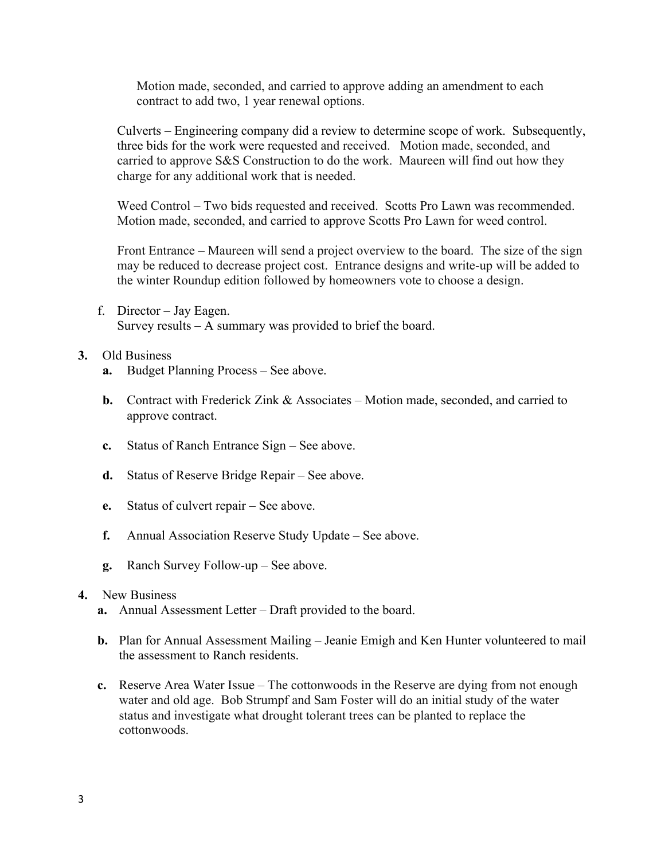Motion made, seconded, and carried to approve adding an amendment to each contract to add two, 1 year renewal options.

Culverts – Engineering company did a review to determine scope of work. Subsequently, three bids for the work were requested and received. Motion made, seconded, and carried to approve S&S Construction to do the work. Maureen will find out how they charge for any additional work that is needed.

Weed Control – Two bids requested and received. Scotts Pro Lawn was recommended. Motion made, seconded, and carried to approve Scotts Pro Lawn for weed control.

Front Entrance – Maureen will send a project overview to the board. The size of the sign may be reduced to decrease project cost. Entrance designs and write-up will be added to the winter Roundup edition followed by homeowners vote to choose a design.

f. Director – Jay Eagen. Survey results – A summary was provided to brief the board.

## **3.** Old Business

- **a.** Budget Planning Process See above.
- **b.** Contract with Frederick Zink & Associates Motion made, seconded, and carried to approve contract.
- **c.** Status of Ranch Entrance Sign See above.
- **d.** Status of Reserve Bridge Repair See above.
- **e.** Status of culvert repair See above.
- **f.** Annual Association Reserve Study Update See above.
- **g.** Ranch Survey Follow-up See above.

### **4.** New Business

- **a.** Annual Assessment Letter Draft provided to the board.
- **b.** Plan for Annual Assessment Mailing Jeanie Emigh and Ken Hunter volunteered to mail the assessment to Ranch residents.
- **c.** Reserve Area Water Issue The cottonwoods in the Reserve are dying from not enough water and old age. Bob Strumpf and Sam Foster will do an initial study of the water status and investigate what drought tolerant trees can be planted to replace the cottonwoods.